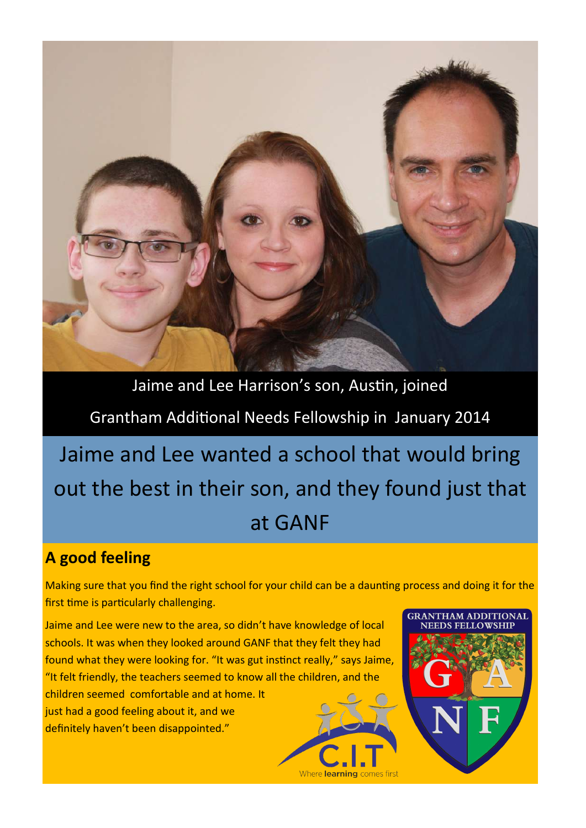

Jaime and Lee Harrison's son, Austin, joined Grantham Additional Needs Fellowship in January 2014

Jaime and Lee wanted a school that would bring out the best in their son, and they found just that at GANF

## **A good feeling**

Making sure that you find the right school for your child can be a daunting process and doing it for the first time is particularly challenging.

Where learning comes first

**GRANTHAM ADDITIONAL NEEDS EELL OWSLIT** 

Jaime and Lee were new to the area, so didn't have knowledge of local schools. It was when they looked around GANF that they felt they had found what they were looking for. "It was gut instinct really," says Jaime, "It felt friendly, the teachers seemed to know all the children, and the children seemed comfortable and at home. It just had a good feeling about it, and we definitely haven't been disappointed."